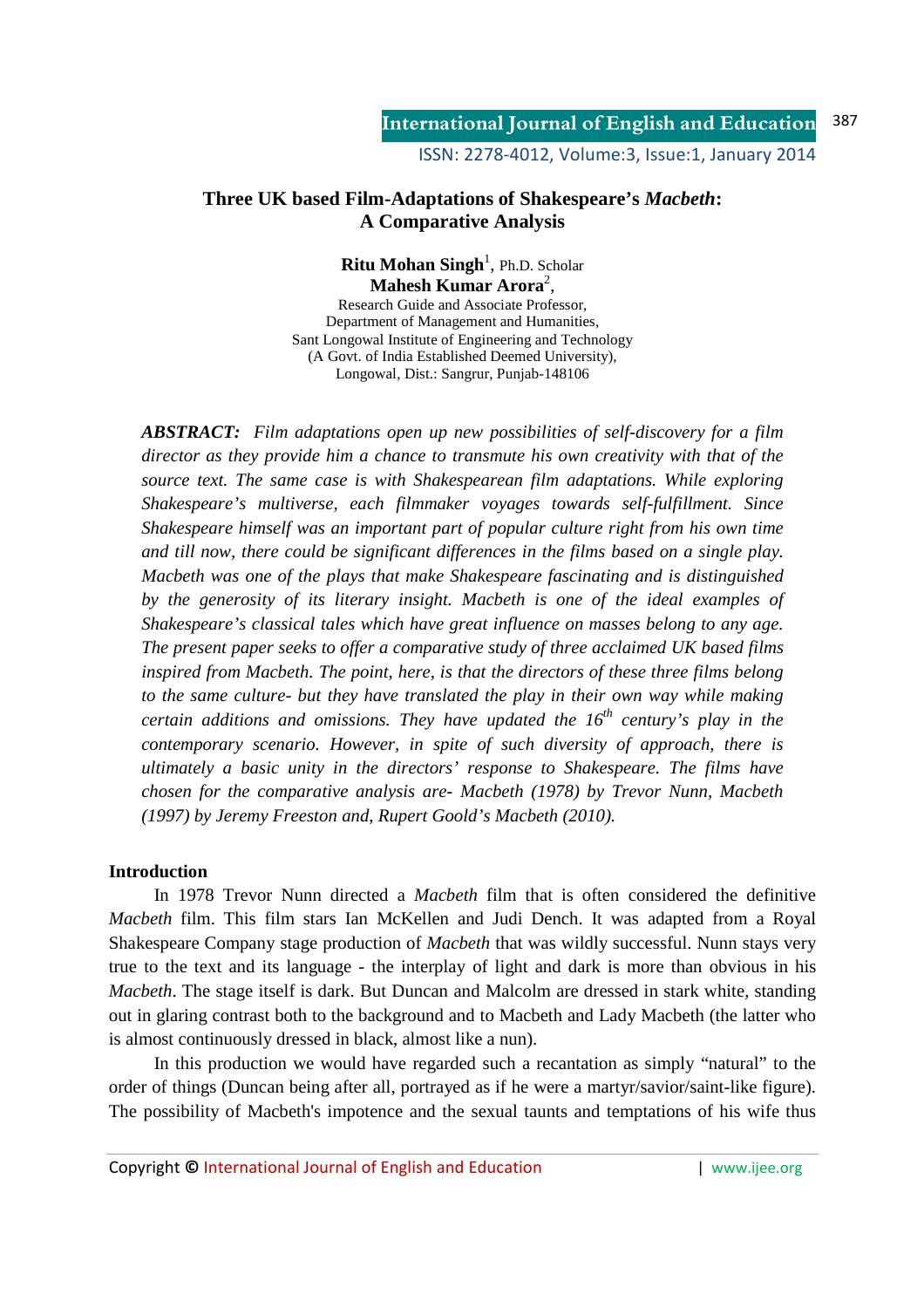## **Three UK based Film-Adaptations of Shakespeare's** *Macbeth***: A Comparative Analysis**

**Ritu Mohan Singh<sup>1</sup>, Ph.D. Scholar** Mahesh Kumar Arora<sup>2</sup>,

Research Guide and Associate Professor, Department of Management and Humanities, Sant Longowal Institute of Engineering and Technology (A Govt. of India Established Deemed University), Longowal, Dist.: Sangrur, Punjab-148106

*ABSTRACT: Film adaptations open up new possibilities of self-discovery for a film director as they provide him a chance to transmute his own creativity with that of the source text. The same case is with Shakespearean film adaptations. While exploring Shakespeare's multiverse, each filmmaker voyages towards self-fulfillment. Since Shakespeare himself was an important part of popular culture right from his own time and till now, there could be significant differences in the films based on a single play. Macbeth was one of the plays that make Shakespeare fascinating and is distinguished*  by the generosity of its literary insight. Macbeth is one of the ideal examples of *Shakespeare's classical tales which have great influence on masses belong to any age. The present paper seeks to offer a comparative study of three acclaimed UK based films inspired from Macbeth. The point, here, is that the directors of these three films belong*  to the same culture- but they have translated the play in their own way while making *certain additions and omissions. They have updated the 16th century's play in the contemporary scenario. However, in spite of such diversity of approach, there is ultimately a basic unity in the directors' response to Shakespeare. The films have chosen for the comparative analysis are- Macbeth (1978) by Trevor Nunn, Macbeth (1997) by Jeremy Freeston and, Rupert Goold's Macbeth (2010).* 

## **Introduction**

 In 1978 Trevor Nunn directed a *Macbeth* film that is often considered the definitive *Macbeth* film. This film stars Ian McKellen and Judi Dench. It was adapted from a Royal Shakespeare Company stage production of *Macbeth* that was wildly successful. Nunn stays very true to the text and its language - the interplay of light and dark is more than obvious in his *Macbeth*. The stage itself is dark. But Duncan and Malcolm are dressed in stark white, standing out in glaring contrast both to the background and to Macbeth and Lady Macbeth (the latter who is almost continuously dressed in black, almost like a nun).

 In this production we would have regarded such a recantation as simply "natural" to the order of things (Duncan being after all, portrayed as if he were a martyr/savior/saint-like figure). The possibility of Macbeth's impotence and the sexual taunts and temptations of his wife thus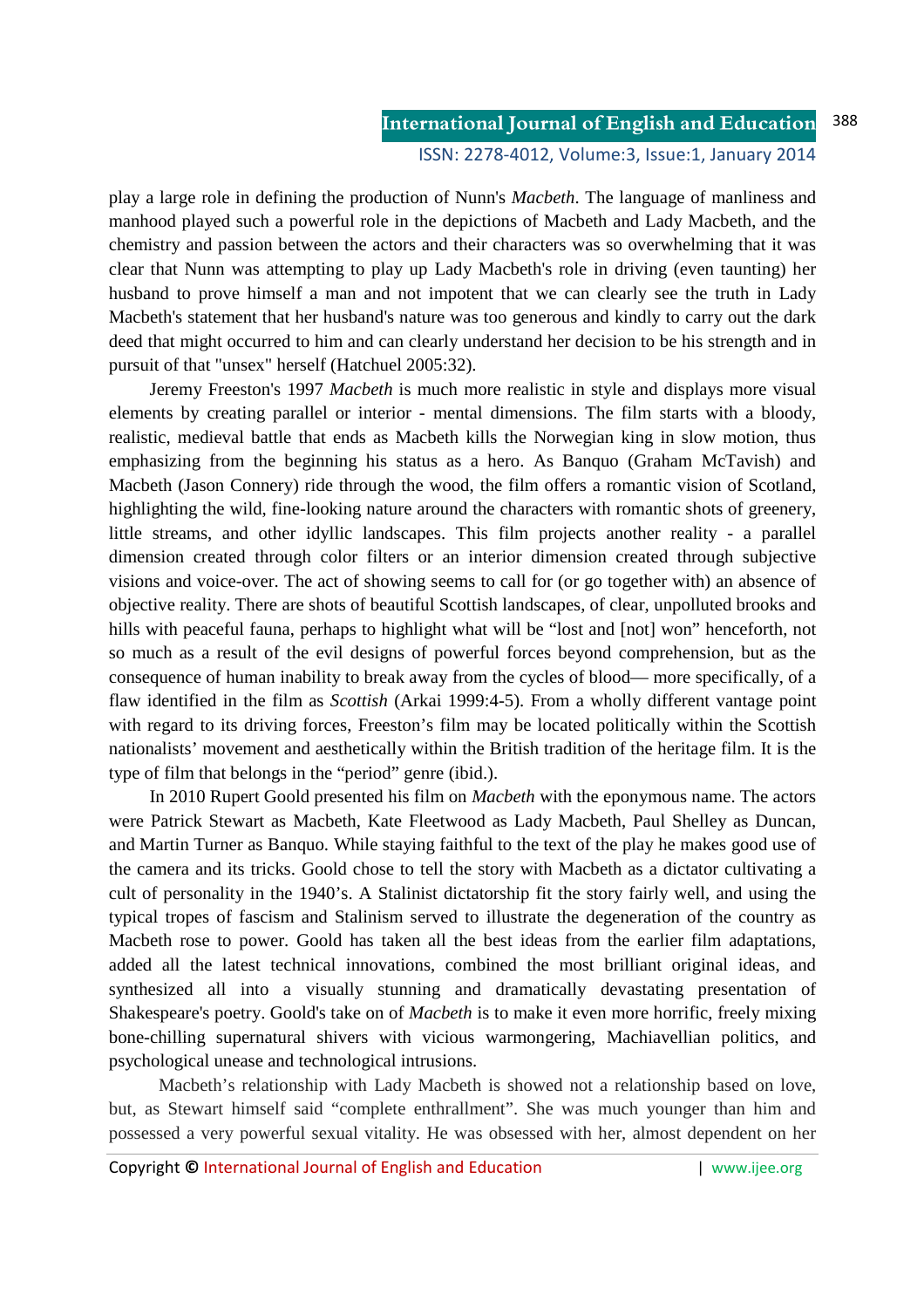# **International Journal of English and Education**

#### ISSN: 2278-4012, Volume:3, Issue:1, January 2014

play a large role in defining the production of Nunn's *Macbeth*. The language of manliness and manhood played such a powerful role in the depictions of Macbeth and Lady Macbeth, and the chemistry and passion between the actors and their characters was so overwhelming that it was clear that Nunn was attempting to play up Lady Macbeth's role in driving (even taunting) her husband to prove himself a man and not impotent that we can clearly see the truth in Lady Macbeth's statement that her husband's nature was too generous and kindly to carry out the dark deed that might occurred to him and can clearly understand her decision to be his strength and in pursuit of that "unsex" herself (Hatchuel 2005:32).

 Jeremy Freeston's 1997 *Macbeth* is much more realistic in style and displays more visual elements by creating parallel or interior - mental dimensions. The film starts with a bloody, realistic, medieval battle that ends as Macbeth kills the Norwegian king in slow motion, thus emphasizing from the beginning his status as a hero. As Banquo (Graham McTavish) and Macbeth (Jason Connery) ride through the wood, the film offers a romantic vision of Scotland, highlighting the wild, fine-looking nature around the characters with romantic shots of greenery, little streams, and other idyllic landscapes. This film projects another reality - a parallel dimension created through color filters or an interior dimension created through subjective visions and voice-over. The act of showing seems to call for (or go together with) an absence of objective reality. There are shots of beautiful Scottish landscapes, of clear, unpolluted brooks and hills with peaceful fauna, perhaps to highlight what will be "lost and [not] won" henceforth, not so much as a result of the evil designs of powerful forces beyond comprehension, but as the consequence of human inability to break away from the cycles of blood— more specifically, of a flaw identified in the film as *Scottish* (Arkai 1999:4-5). From a wholly different vantage point with regard to its driving forces, Freeston's film may be located politically within the Scottish nationalists' movement and aesthetically within the British tradition of the heritage film. It is the type of film that belongs in the "period" genre (ibid.).

 In 2010 Rupert Goold presented his film on *Macbeth* with the eponymous name. The actors were Patrick Stewart as Macbeth, Kate Fleetwood as Lady Macbeth, Paul Shelley as Duncan, and Martin Turner as Banquo. While staying faithful to the text of the play he makes good use of the camera and its tricks. Goold chose to tell the story with Macbeth as a dictator cultivating a cult of personality in the 1940's. A Stalinist dictatorship fit the story fairly well, and using the typical tropes of fascism and Stalinism served to illustrate the degeneration of the country as Macbeth rose to power. Goold has taken all the best ideas from the earlier film adaptations, added all the latest technical innovations, combined the most brilliant original ideas, and synthesized all into a visually stunning and dramatically devastating presentation of Shakespeare's poetry. Goold's take on of *Macbeth* is to make it even more horrific, freely mixing bone-chilling supernatural shivers with vicious warmongering, Machiavellian politics, and psychological unease and technological intrusions.

 Macbeth's relationship with Lady Macbeth is showed not a relationship based on love, but, as Stewart himself said "complete enthrallment". She was much younger than him and possessed a very powerful sexual vitality. He was obsessed with her, almost dependent on her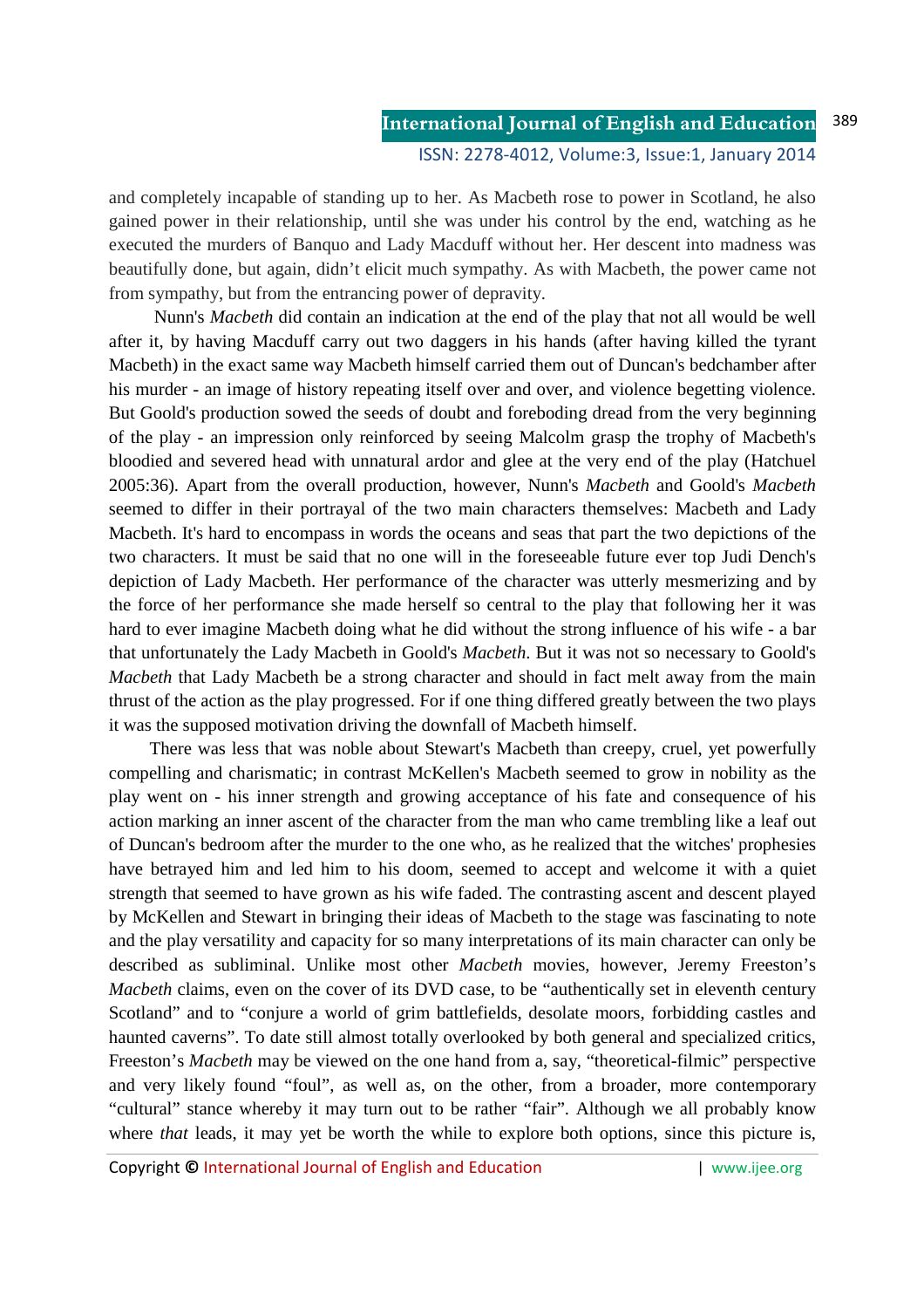and completely incapable of standing up to her. As Macbeth rose to power in Scotland, he also gained power in their relationship, until she was under his control by the end, watching as he executed the murders of Banquo and Lady Macduff without her. Her descent into madness was beautifully done, but again, didn't elicit much sympathy. As with Macbeth, the power came not from sympathy, but from the entrancing power of depravity.

 Nunn's *Macbeth* did contain an indication at the end of the play that not all would be well after it, by having Macduff carry out two daggers in his hands (after having killed the tyrant Macbeth) in the exact same way Macbeth himself carried them out of Duncan's bedchamber after his murder - an image of history repeating itself over and over, and violence begetting violence. But Goold's production sowed the seeds of doubt and foreboding dread from the very beginning of the play - an impression only reinforced by seeing Malcolm grasp the trophy of Macbeth's bloodied and severed head with unnatural ardor and glee at the very end of the play (Hatchuel 2005:36). Apart from the overall production, however, Nunn's *Macbeth* and Goold's *Macbeth* seemed to differ in their portrayal of the two main characters themselves: Macbeth and Lady Macbeth. It's hard to encompass in words the oceans and seas that part the two depictions of the two characters. It must be said that no one will in the foreseeable future ever top Judi Dench's depiction of Lady Macbeth. Her performance of the character was utterly mesmerizing and by the force of her performance she made herself so central to the play that following her it was hard to ever imagine Macbeth doing what he did without the strong influence of his wife - a bar that unfortunately the Lady Macbeth in Goold's *Macbeth*. But it was not so necessary to Goold's *Macbeth* that Lady Macbeth be a strong character and should in fact melt away from the main thrust of the action as the play progressed. For if one thing differed greatly between the two plays it was the supposed motivation driving the downfall of Macbeth himself.

 There was less that was noble about Stewart's Macbeth than creepy, cruel, yet powerfully compelling and charismatic; in contrast McKellen's Macbeth seemed to grow in nobility as the play went on - his inner strength and growing acceptance of his fate and consequence of his action marking an inner ascent of the character from the man who came trembling like a leaf out of Duncan's bedroom after the murder to the one who, as he realized that the witches' prophesies have betrayed him and led him to his doom, seemed to accept and welcome it with a quiet strength that seemed to have grown as his wife faded. The contrasting ascent and descent played by McKellen and Stewart in bringing their ideas of Macbeth to the stage was fascinating to note and the play versatility and capacity for so many interpretations of its main character can only be described as subliminal. Unlike most other *Macbeth* movies, however, Jeremy Freeston's *Macbeth* claims, even on the cover of its DVD case, to be "authentically set in eleventh century Scotland" and to "conjure a world of grim battlefields, desolate moors, forbidding castles and haunted caverns". To date still almost totally overlooked by both general and specialized critics, Freeston's *Macbeth* may be viewed on the one hand from a, say, "theoretical-filmic" perspective and very likely found "foul", as well as, on the other, from a broader, more contemporary "cultural" stance whereby it may turn out to be rather "fair". Although we all probably know where *that* leads, it may yet be worth the while to explore both options, since this picture is,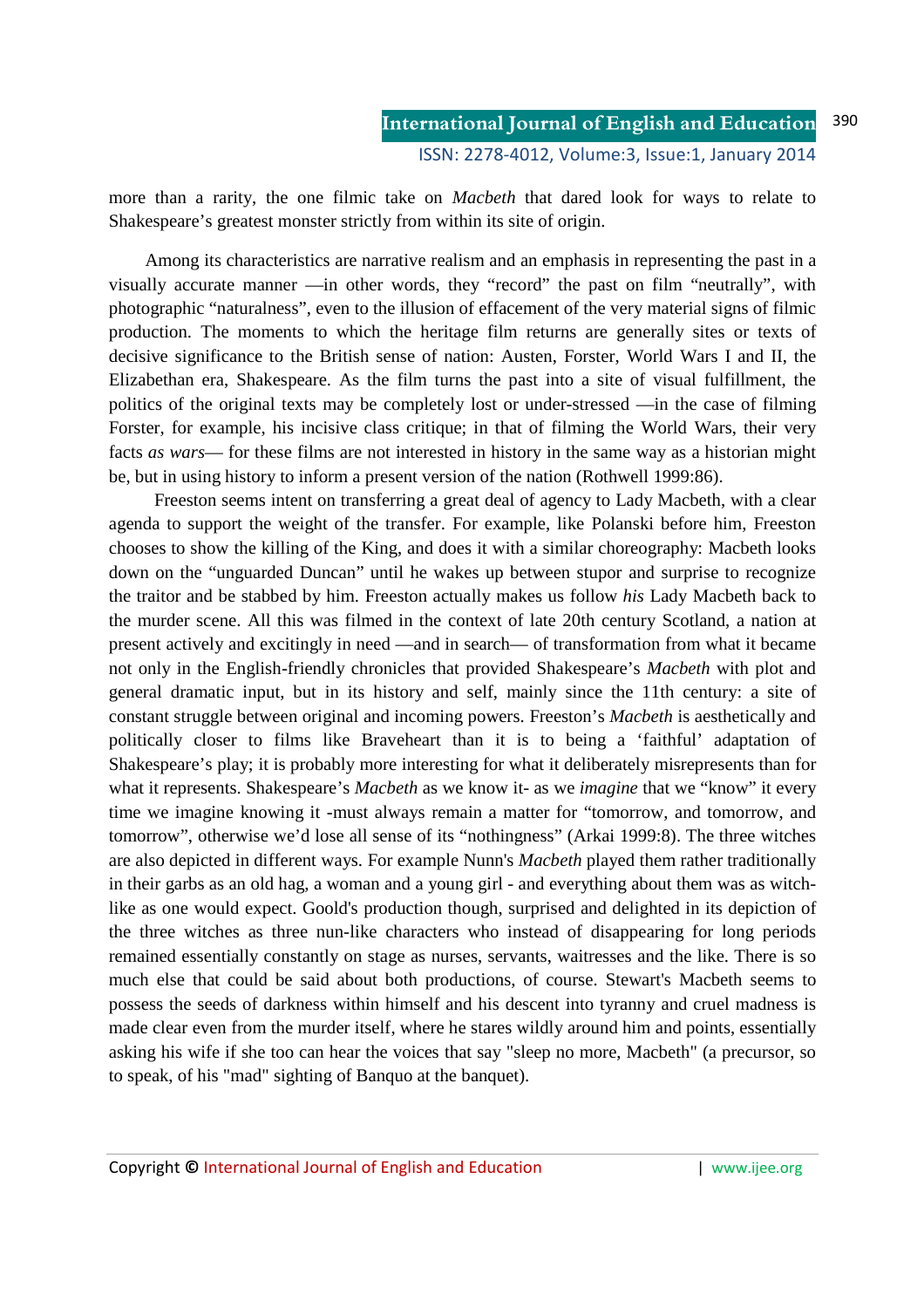more than a rarity, the one filmic take on *Macbeth* that dared look for ways to relate to Shakespeare's greatest monster strictly from within its site of origin.

 Among its characteristics are narrative realism and an emphasis in representing the past in a visually accurate manner —in other words, they "record" the past on film "neutrally", with photographic "naturalness", even to the illusion of effacement of the very material signs of filmic production. The moments to which the heritage film returns are generally sites or texts of decisive significance to the British sense of nation: Austen, Forster, World Wars I and II, the Elizabethan era, Shakespeare. As the film turns the past into a site of visual fulfillment, the politics of the original texts may be completely lost or under-stressed —in the case of filming Forster, for example, his incisive class critique; in that of filming the World Wars, their very facts *as wars*— for these films are not interested in history in the same way as a historian might be, but in using history to inform a present version of the nation (Rothwell 1999:86).

 Freeston seems intent on transferring a great deal of agency to Lady Macbeth, with a clear agenda to support the weight of the transfer. For example, like Polanski before him, Freeston chooses to show the killing of the King, and does it with a similar choreography: Macbeth looks down on the "unguarded Duncan" until he wakes up between stupor and surprise to recognize the traitor and be stabbed by him. Freeston actually makes us follow *his* Lady Macbeth back to the murder scene. All this was filmed in the context of late 20th century Scotland, a nation at present actively and excitingly in need —and in search— of transformation from what it became not only in the English-friendly chronicles that provided Shakespeare's *Macbeth* with plot and general dramatic input, but in its history and self, mainly since the 11th century: a site of constant struggle between original and incoming powers. Freeston's *Macbeth* is aesthetically and politically closer to films like Braveheart than it is to being a 'faithful' adaptation of Shakespeare's play; it is probably more interesting for what it deliberately misrepresents than for what it represents. Shakespeare's *Macbeth* as we know it- as we *imagine* that we "know" it every time we imagine knowing it -must always remain a matter for "tomorrow, and tomorrow, and tomorrow", otherwise we'd lose all sense of its "nothingness" (Arkai 1999:8). The three witches are also depicted in different ways. For example Nunn's *Macbeth* played them rather traditionally in their garbs as an old hag, a woman and a young girl - and everything about them was as witchlike as one would expect. Goold's production though, surprised and delighted in its depiction of the three witches as three nun-like characters who instead of disappearing for long periods remained essentially constantly on stage as nurses, servants, waitresses and the like. There is so much else that could be said about both productions, of course. Stewart's Macbeth seems to possess the seeds of darkness within himself and his descent into tyranny and cruel madness is made clear even from the murder itself, where he stares wildly around him and points, essentially asking his wife if she too can hear the voices that say "sleep no more, Macbeth" (a precursor, so to speak, of his "mad" sighting of Banquo at the banquet).